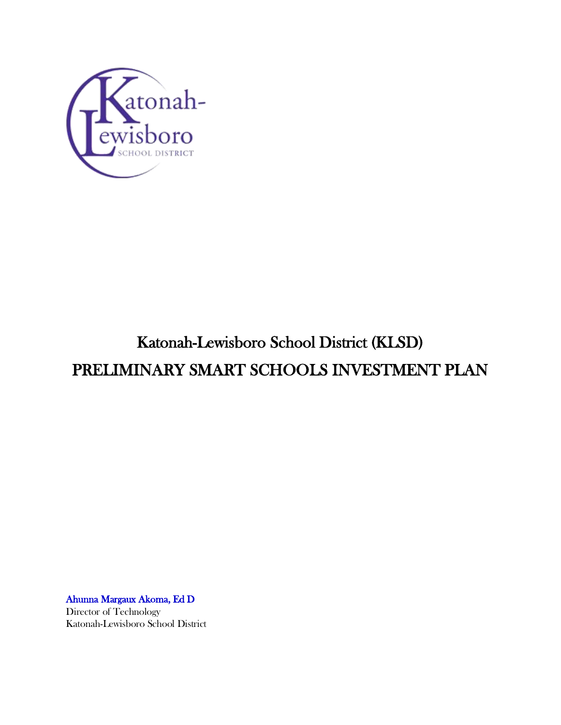

# Katonah-Lewisboro School District (KLSD) PRELIMINARY SMART SCHOOLS INVESTMENT PLAN

Ahunna Margaux Akoma, Ed D Director of Technology Katonah-Lewisboro School District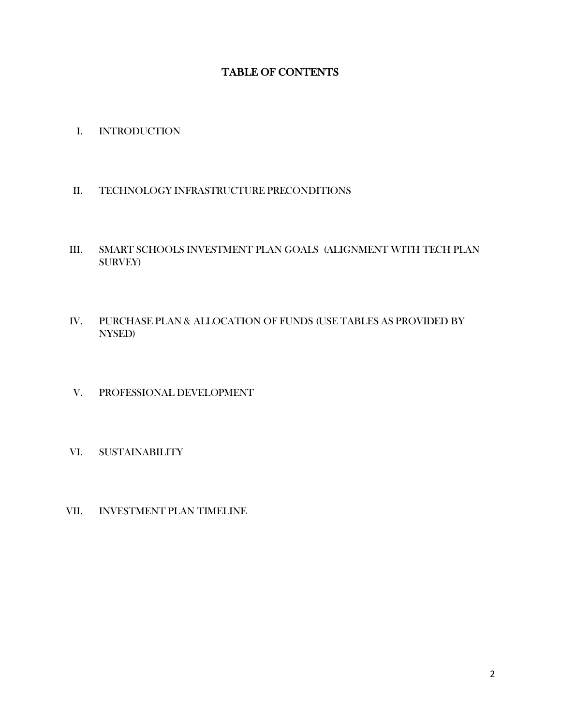# TABLE OF CONTENTS

- I. INTRODUCTION
- II. TECHNOLOGY INFRASTRUCTURE PRECONDITIONS
- III. SMART SCHOOLS INVESTMENT PLAN GOALS (ALIGNMENT WITH TECH PLAN SURVEY)
- IV. PURCHASE PLAN & ALLOCATION OF FUNDS (USE TABLES AS PROVIDED BY NYSED)
- V. PROFESSIONAL DEVELOPMENT
- VI. SUSTAINABILITY
- VII. INVESTMENT PLAN TIMELINE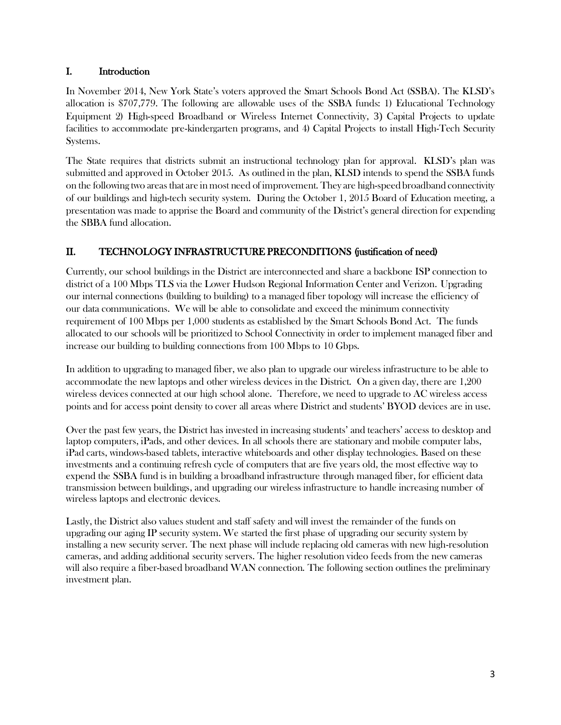# I. Introduction

In November 2014, New York State's voters approved the Smart Schools Bond Act (SSBA). The KLSD's allocation is \$707,779. The following are allowable uses of the SSBA funds: 1) Educational Technology Equipment 2) High-speed Broadband or Wireless Internet Connectivity, 3) Capital Projects to update facilities to accommodate pre-kindergarten programs, and 4) Capital Projects to install High-Tech Security Systems.

The State requires that districts submit an instructional technology plan for approval. KLSD's plan was submitted and approved in October 2015. As outlined in the plan, KLSD intends to spend the SSBA funds on the following two areas that are in most need of improvement. They are high-speed broadband connectivity of our buildings and high-tech security system. During the October 1, 2015 Board of Education meeting, a presentation was made to apprise the Board and community of the District's general direction for expending the SBBA fund allocation.

# II. TECHNOLOGY INFRASTRUCTURE PRECONDITIONS (justification of need)

Currently, our school buildings in the District are interconnected and share a backbone ISP connection to district of a 100 Mbps TLS via the Lower Hudson Regional Information Center and Verizon. Upgrading our internal connections (building to building) to a managed fiber topology will increase the efficiency of our data communications. We will be able to consolidate and exceed the minimum connectivity requirement of 100 Mbps per 1,000 students as established by the Smart Schools Bond Act. The funds allocated to our schools will be prioritized to School Connectivity in order to implement managed fiber and increase our building to building connections from 100 Mbps to 10 Gbps.

In addition to upgrading to managed fiber, we also plan to upgrade our wireless infrastructure to be able to accommodate the new laptops and other wireless devices in the District. On a given day, there are 1,200 wireless devices connected at our high school alone. Therefore, we need to upgrade to AC wireless access points and for access point density to cover all areas where District and students' BYOD devices are in use.

Over the past few years, the District has invested in increasing students' and teachers' access to desktop and laptop computers, iPads, and other devices. In all schools there are stationary and mobile computer labs, iPad carts, windows-based tablets, interactive whiteboards and other display technologies. Based on these investments and a continuing refresh cycle of computers that are five years old, the most effective way to expend the SSBA fund is in building a broadband infrastructure through managed fiber, for efficient data transmission between buildings, and upgrading our wireless infrastructure to handle increasing number of wireless laptops and electronic devices.

Lastly, the District also values student and staff safety and will invest the remainder of the funds on upgrading our aging IP security system. We started the first phase of upgrading our security system by installing a new security server. The next phase will include replacing old cameras with new high-resolution cameras, and adding additional security servers. The higher resolution video feeds from the new cameras will also require a fiber-based broadband WAN connection. The following section outlines the preliminary investment plan.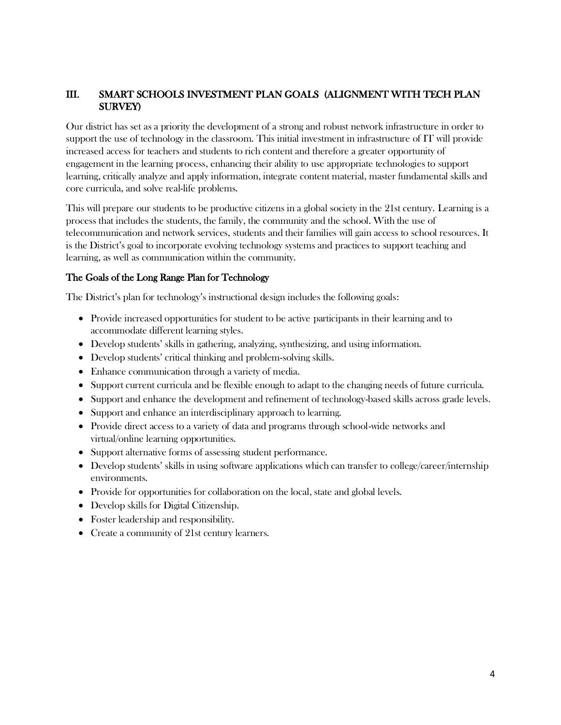# III. SMART SCHOOLS INVESTMENT PLAN GOALS (ALIGNMENT WITH TECH PLAN SURVEY)

Our district has set as a priority the development of a strong and robust network infrastructure in order to support the use of technology in the classroom. This initial investment in infrastructure of IT will provide increased access for teachers and students to rich content and therefore a greater opportunity of engagement in the learning process, enhancing their ability to use appropriate technologies to support learning, critically analyze and apply information, integrate content material, master fundamental skills and core curricula, and solve real-life problems.

This will prepare our students to be productive citizens in a global society in the 21st century. Learning is a process that includes the students, the family, the community and the school. With the use of telecommunication and network services, students and their families will gain access to school resources. It is the District's goal to incorporate evolving technology systems and practices to support teaching and learning, as well as communication within the community.

#### The Goals of the Long Range Plan for Technology

The District's plan for technology's instructional design includes the following goals:

- Provide increased opportunities for student to be active participants in their learning and to accommodate different learning styles.
- Develop students' skills in gathering, analyzing, synthesizing, and using information.
- Develop students' critical thinking and problem-solving skills.
- Enhance communication through a variety of media.
- Support current curricula and be flexible enough to adapt to the changing needs of future curricula.
- Support and enhance the development and refinement of technology-based skills across grade levels.
- Support and enhance an interdisciplinary approach to learning.
- Provide direct access to a variety of data and programs through school-wide networks and virtual/online learning opportunities.
- Support alternative forms of assessing student performance.
- Develop students' skills in using software applications which can transfer to college/career/internship environments.
- Provide for opportunities for collaboration on the local, state and global levels.
- Develop skills for Digital Citizenship.
- Foster leadership and responsibility.
- Create a community of 21st century learners.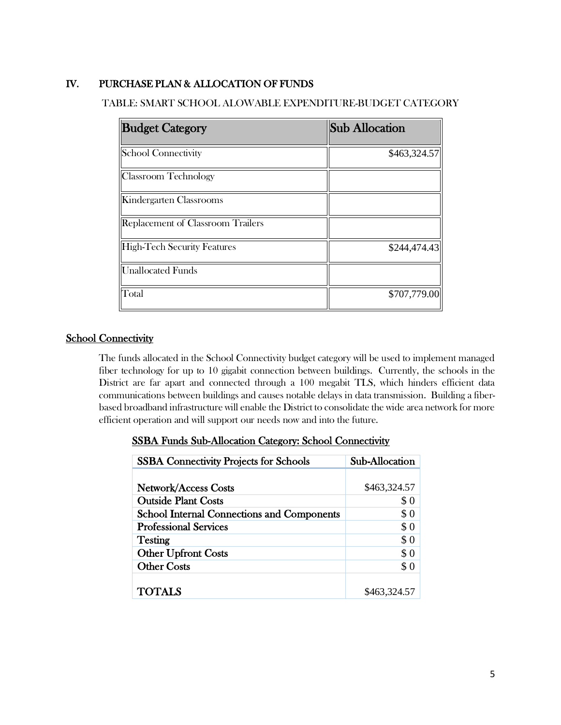# IV. PURCHASE PLAN & ALLOCATION OF FUNDS

#### TABLE: SMART SCHOOL ALOWABLE EXPENDITURE-BUDGET CATEGORY

| <b>Budget Category</b>                   | <b>Sub Allocation</b> |
|------------------------------------------|-----------------------|
| School Connectivity                      | \$463,324.57          |
| Classroom Technology                     |                       |
| Kindergarten Classrooms                  |                       |
| <b>Replacement of Classroom Trailers</b> |                       |
| High-Tech Security Features              | \$244,474.43          |
| <b>Unallocated Funds</b>                 |                       |
| Total                                    | \$707,779.00          |

#### **School Connectivity**

The funds allocated in the School Connectivity budget category will be used to implement managed fiber technology for up to 10 gigabit connection between buildings. Currently, the schools in the District are far apart and connected through a 100 megabit TLS, which hinders efficient data communications between buildings and causes notable delays in data transmission. Building a fiberbased broadband infrastructure will enable the District to consolidate the wide area network for more efficient operation and will support our needs now and into the future.

# SSBA Connectivity Projects for Schools Sub-Allocation Network/Access Costs  $\frac{$463,324.57}{}$ Outside Plant Costs \$ 0 School Internal Connections and Components  $$0$ Professional Services  $\overline{\hspace{1.5cm}80}$ Testing  $\qquad \qquad \text{S} 0$ Other Upfront Costs  $$0$ Other Costs  $$ 0$ **TOTALS** \$463,324.57

#### SSBA Funds Sub-Allocation Category: School Connectivity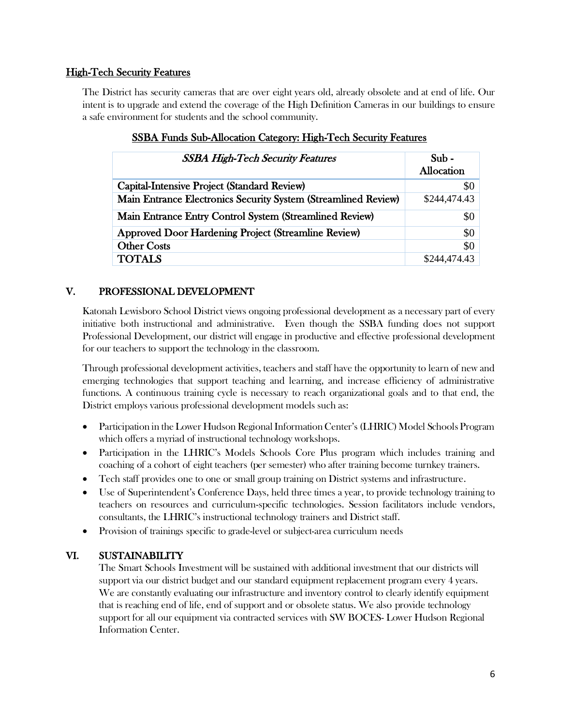#### High-Tech Security Features

The District has security cameras that are over eight years old, already obsolete and at end of life. Our intent is to upgrade and extend the coverage of the High Definition Cameras in our buildings to ensure a safe environment for students and the school community.

| <b>SSBA High-Tech Security Features</b>                        | Sub -<br>Allocation |
|----------------------------------------------------------------|---------------------|
| <b>Capital-Intensive Project (Standard Review)</b>             | -80                 |
| Main Entrance Electronics Security System (Streamlined Review) | \$244,474.43        |
| Main Entrance Entry Control System (Streamlined Review)        | \$0                 |
| <b>Approved Door Hardening Project (Streamline Review)</b>     | \$0                 |
| <b>Other Costs</b>                                             | \$0                 |
| TOTAL S                                                        |                     |

# SSBA Funds Sub-Allocation Category: High-Tech Security Features

#### V. PROFESSIONAL DEVELOPMENT

Katonah Lewisboro School District views ongoing professional development as a necessary part of every initiative both instructional and administrative. Even though the SSBA funding does not support Professional Development, our district will engage in productive and effective professional development for our teachers to support the technology in the classroom.

Through professional development activities, teachers and staff have the opportunity to learn of new and emerging technologies that support teaching and learning, and increase efficiency of administrative functions. A continuous training cycle is necessary to reach organizational goals and to that end, the District employs various professional development models such as:

- Participation in the Lower Hudson Regional Information Center's (LHRIC) Model Schools Program which offers a myriad of instructional technology workshops.
- Participation in the LHRIC's Models Schools Core Plus program which includes training and coaching of a cohort of eight teachers (per semester) who after training become turnkey trainers.
- Tech staff provides one to one or small group training on District systems and infrastructure.
- Use of Superintendent's Conference Days, held three times a year, to provide technology training to teachers on resources and curriculum-specific technologies. Session facilitators include vendors, consultants, the LHRIC's instructional technology trainers and District staff.
- Provision of trainings specific to grade-level or subject-area curriculum needs

# VI. SUSTAINABILITY

The Smart Schools Investment will be sustained with additional investment that our districts will support via our district budget and our standard equipment replacement program every 4 years. We are constantly evaluating our infrastructure and inventory control to clearly identify equipment that is reaching end of life, end of support and or obsolete status. We also provide technology support for all our equipment via contracted services with SW BOCES- Lower Hudson Regional Information Center.